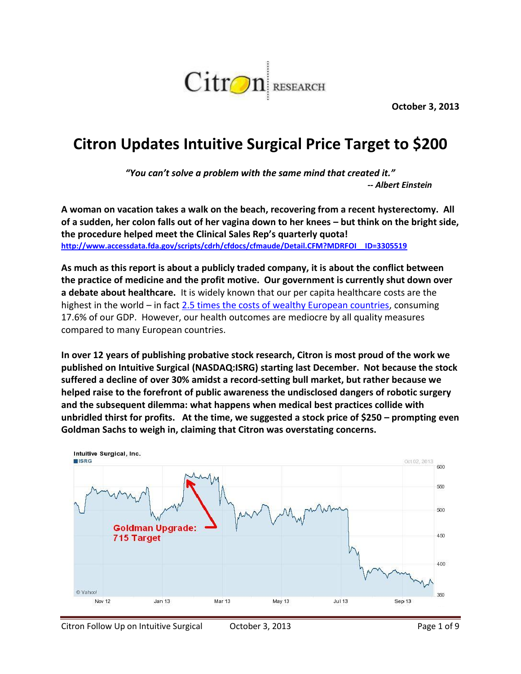

**October 3, 2013**

## **Citron Updates Intuitive Surgical Price Target to \$200**

*"You can't solve a problem with the same mind that created it." -- Albert Einstein*

**A woman on vacation takes a walk on the beach, recovering from a recent hysterectomy. All of a sudden, her colon falls out of her vagina down to her knees – but think on the bright side, the procedure helped meet the Clinical Sales Rep's quarterly quota! [http://www.accessdata.fda.gov/scripts/cdrh/cfdocs/cfmaude/Detail.CFM?MDRFOI\\_\\_ID=3305519](http://www.accessdata.fda.gov/scripts/cdrh/cfdocs/cfmaude/Detail.CFM?MDRFOI__ID=3305519)**

**As much as this report is about a publicly traded company, it is about the conflict between the practice of medicine and the profit motive. Our government is currently shut down over a debate about healthcare.** It is widely known that our per capita healthcare costs are the highest in the world – in fac[t 2.5 times the costs of wealthy European countries,](http://www.pbs.org/newshour/rundown/2012/10/health-costs-how-the-us-compares-with-other-countries.html) consuming 17.6% of our GDP. However, our health outcomes are mediocre by all quality measures compared to many European countries.

**In over 12 years of publishing probative stock research, Citron is most proud of the work we published on Intuitive Surgical (NASDAQ:ISRG) starting last December. Not because the stock suffered a decline of over 30% amidst a record-setting bull market, but rather because we helped raise to the forefront of public awareness the undisclosed dangers of robotic surgery and the subsequent dilemma: what happens when medical best practices collide with unbridled thirst for profits. At the time, we suggested a stock price of \$250 – prompting even Goldman Sachs to weigh in, claiming that Citron was overstating concerns.**

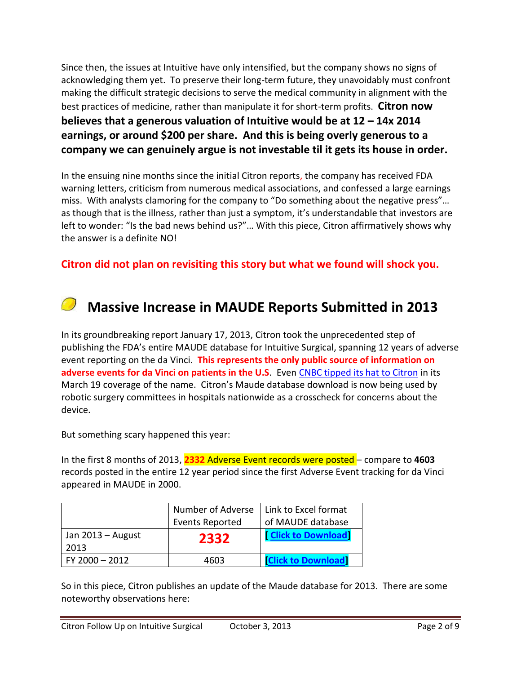Since then, the issues at Intuitive have only intensified, but the company shows no signs of acknowledging them yet. To preserve their long-term future, they unavoidably must confront making the difficult strategic decisions to serve the medical community in alignment with the best practices of medicine, rather than manipulate it for short-term profits. **Citron now believes that a generous valuation of Intuitive would be at 12 – 14x 2014 earnings, or around \$200 per share. And this is being overly generous to a company we can genuinely argue is not investable til it gets its house in order.**

In the ensuing nine months since the initial Citron reports, the company has received FDA warning letters, criticism from numerous medical associations, and confessed a large earnings miss. With analysts clamoring for the company to "Do something about the negative press"… as though that is the illness, rather than just a symptom, it's understandable that investors are left to wonder: "Is the bad news behind us?"... With this piece, Citron affirmatively shows why the answer is a definite NO!

**Citron did not plan on revisiting this story but what we found will shock you.**

# **Massive Increase in MAUDE Reports Submitted in 2013**

In its groundbreaking report January 17, 2013, Citron took the unprecedented step of publishing the FDA's entire MAUDE database for Intuitive Surgical, spanning 12 years of adverse event reporting on the da Vinci. **This represents the only public source of information on adverse events for da Vinci on patients in the U.S**. Even [CNBC tipped its hat to Citron](http://www.cnbc.com/id/100564517) in its March 19 coverage of the name. Citron's Maude database download is now being used by robotic surgery committees in hospitals nationwide as a crosscheck for concerns about the device.

But something scary happened this year:

In the first 8 months of 2013, **2332** Adverse Event records were posted – compare to **4603** records posted in the entire 12 year period since the first Adverse Event tracking for da Vinci appeared in MAUDE in 2000.

|                     | Number of Adverse      | Link to Excel format       |
|---------------------|------------------------|----------------------------|
|                     | <b>Events Reported</b> | of MAUDE database          |
| Jan $2013 -$ August | 2332                   | <b>Click to Download</b>   |
| 2013                |                        |                            |
| $FY$ 2000 $-$ 2012  | 4603                   | <b>TClick to Download1</b> |

So in this piece, Citron publishes an update of the Maude database for 2013. There are some noteworthy observations here: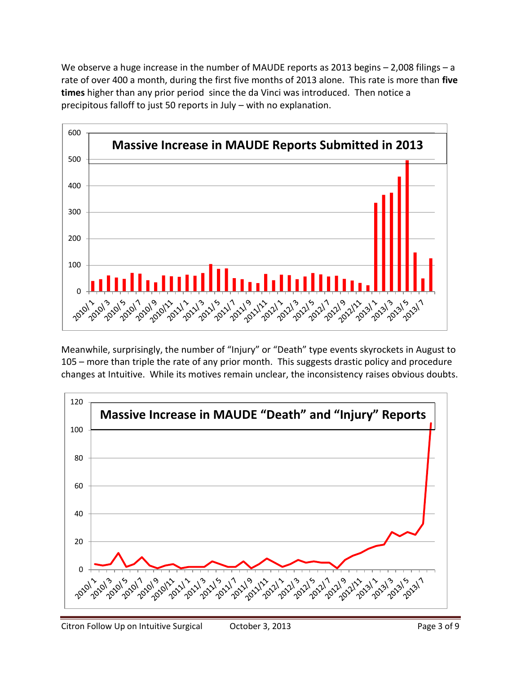We observe a huge increase in the number of MAUDE reports as 2013 begins – 2,008 filings – a rate of over 400 a month, during the first five months of 2013 alone. This rate is more than **five times** higher than any prior period since the da Vinci was introduced. Then notice a precipitous falloff to just 50 reports in July – with no explanation.



Meanwhile, surprisingly, the number of "Injury" or "Death" type events skyrockets in August to – more than triple the rate of any prior month. This suggests drastic policy and procedure changes at Intuitive. While its motives remain unclear, the inconsistency raises obvious doubts.

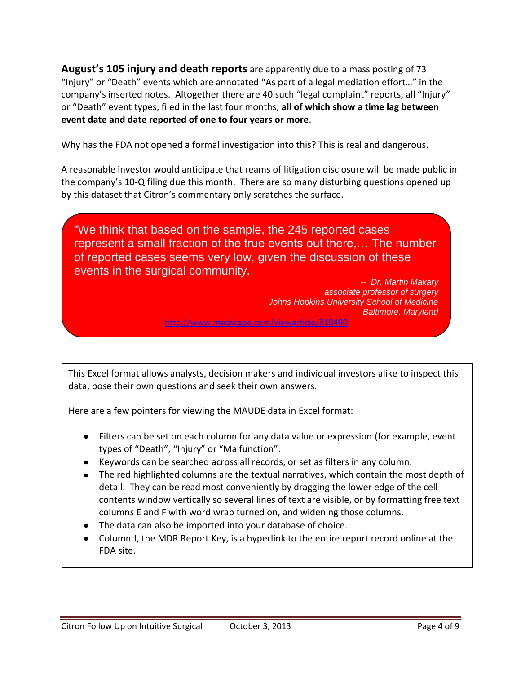**August's 105 injury and death reports** are apparently due to a mass posting of 73 "Injury" or "Death" events which are annotated "As part of a legal mediation effort…" in the company's inserted notes. Altogether there are 40 such "legal complaint" reports, all "Injury" or "Death" event types, filed in the last four months, **all of which show a time lag between event date and date reported of one to four years or more**.

Why has the FDA not opened a formal investigation into this? This is real and dangerous.

A reasonable investor would anticipate that reams of litigation disclosure will be made public in the company's 10-Q filing due this month. There are so many disturbing questions opened up by this dataset that Citron's commentary only scratches the surface.

"We think that based on the sample, the 245 reported cases represent a small fraction of the true events out there,… The number of reported cases seems very low, given the discussion of these events in the surgical community.

> *-- Dr. Martin Makary associate professor of surgery Johns Hopkins University School of Medicine Baltimore, Maryland* <http://www.medscape.com/viewarticle/810490>

This Excel format allows analysts, decision makers and individual investors alike to inspect this data, pose their own questions and seek their own answers.

Here are a few pointers for viewing the MAUDE data in Excel format:

- Filters can be set on each column for any data value or expression (for example, event types of "Death", "Injury" or "Malfunction".
- Keywords can be searched across all records, or set as filters in any column.
- The red highlighted columns are the textual narratives, which contain the most depth of detail. They can be read most conveniently by dragging the lower edge of the cell contents window vertically so several lines of text are visible, or by formatting free text columns E and F with word wrap turned on, and widening those columns.
- The data can also be imported into your database of choice.
- Column J, the MDR Report Key, is a hyperlink to the entire report record online at the FDA site.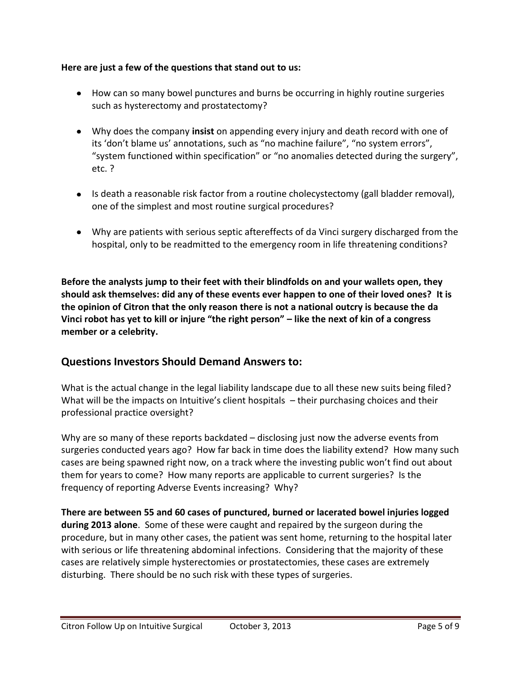#### **Here are just a few of the questions that stand out to us:**

- How can so many bowel punctures and burns be occurring in highly routine surgeries such as hysterectomy and prostatectomy?
- Why does the company **insist** on appending every injury and death record with one of its 'don't blame us' annotations, such as "no machine failure", "no system errors", "system functioned within specification" or "no anomalies detected during the surgery", etc. ?
- Is death a reasonable risk factor from a routine cholecystectomy (gall bladder removal), one of the simplest and most routine surgical procedures?
- Why are patients with serious septic aftereffects of da Vinci surgery discharged from the hospital, only to be readmitted to the emergency room in life threatening conditions?

**Before the analysts jump to their feet with their blindfolds on and your wallets open, they should ask themselves: did any of these events ever happen to one of their loved ones? It is the opinion of Citron that the only reason there is not a national outcry is because the da Vinci robot has yet to kill or injure "the right person" – like the next of kin of a congress member or a celebrity.** 

### **Questions Investors Should Demand Answers to:**

What is the actual change in the legal liability landscape due to all these new suits being filed? What will be the impacts on Intuitive's client hospitals – their purchasing choices and their professional practice oversight?

Why are so many of these reports backdated – disclosing just now the adverse events from surgeries conducted years ago? How far back in time does the liability extend? How many such cases are being spawned right now, on a track where the investing public won't find out about them for years to come? How many reports are applicable to current surgeries? Is the frequency of reporting Adverse Events increasing? Why?

**There are between 55 and 60 cases of punctured, burned or lacerated bowel injuries logged during 2013 alone**. Some of these were caught and repaired by the surgeon during the procedure, but in many other cases, the patient was sent home, returning to the hospital later with serious or life threatening abdominal infections. Considering that the majority of these cases are relatively simple hysterectomies or prostatectomies, these cases are extremely disturbing. There should be no such risk with these types of surgeries.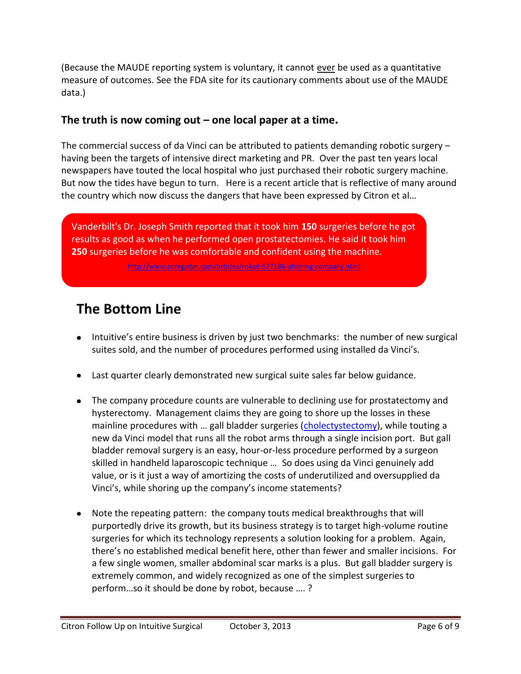(Because the MAUDE reporting system is voluntary, it cannot ever be used as a quantitative measure of outcomes. See the FDA site for its cautionary comments about use of the MAUDE data.)

#### **The truth is now coming out – one local paper at a time.**

The commercial success of da Vinci can be attributed to patients demanding robotic surgery – having been the targets of intensive direct marketing and PR. Over the past ten years local newspapers have touted the local hospital who just purchased their robotic surgery machine. But now the tides have begun to turn. Here is a recent article that is reflective of many around the country which now discuss the dangers that have been expressed by Citron et al…

Vanderbilt's Dr. Joseph Smith reported that it took him **150** surgeries before he got results as good as when he performed open prostatectomies. He said it took him **250** surgeries before he was comfortable and confident using the machine.

<http://www.ocregister.com/articles/robot-527186-ahlering-company.html>

## **The Bottom Line**

- Intuitive's entire business is driven by just two benchmarks: the number of new surgical suites sold, and the number of procedures performed using installed da Vinci's.
- Last quarter clearly demonstrated new surgical suite sales far below guidance.
- The company procedure counts are vulnerable to declining use for prostatectomy and hysterectomy. Management claims they are going to shore up the losses in these mainline procedures with ... gall bladder surgeries ([cholectystectomy\)](http://en.wikipedia.org/wiki/Cholecystectomy), while touting a new da Vinci model that runs all the robot arms through a single incision port. But gall bladder removal surgery is an easy, hour-or-less procedure performed by a surgeon skilled in handheld laparoscopic technique … So does using da Vinci genuinely add value, or is it just a way of amortizing the costs of underutilized and oversupplied da Vinci's, while shoring up the company's income statements?
- Note the repeating pattern: the company touts medical breakthroughs that will purportedly drive its growth, but its business strategy is to target high-volume routine surgeries for which its technology represents a solution looking for a problem. Again, there's no established medical benefit here, other than fewer and smaller incisions. For a few single women, smaller abdominal scar marks is a plus. But gall bladder surgery is extremely common, and widely recognized as one of the simplest surgeries to perform…so it should be done by robot, because …. ?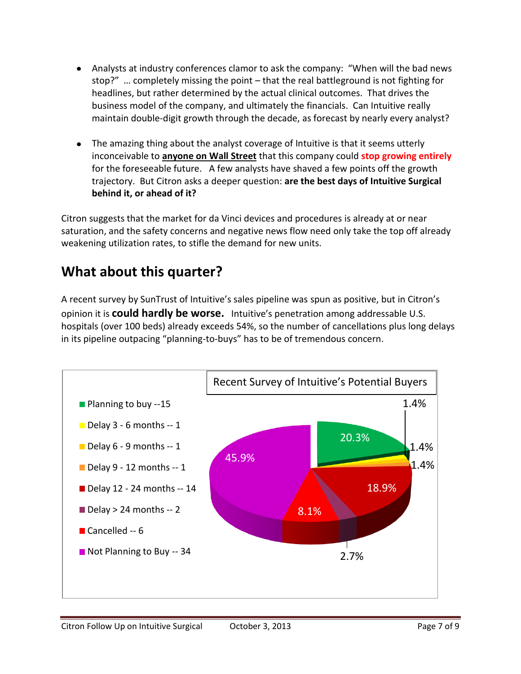- Analysts at industry conferences clamor to ask the company: "When will the bad news stop?" … completely missing the point – that the real battleground is not fighting for headlines, but rather determined by the actual clinical outcomes. That drives the business model of the company, and ultimately the financials. Can Intuitive really maintain double-digit growth through the decade, as forecast by nearly every analyst?
- The amazing thing about the analyst coverage of Intuitive is that it seems utterly inconceivable to **anyone on Wall Street** that this company could **stop growing entirely** for the foreseeable future. A few analysts have shaved a few points off the growth trajectory. But Citron asks a deeper question: **are the best days of Intuitive Surgical behind it, or ahead of it?**

Citron suggests that the market for da Vinci devices and procedures is already at or near saturation, and the safety concerns and negative news flow need only take the top off already weakening utilization rates, to stifle the demand for new units.

## **What about this quarter?**

A recent survey by SunTrust of Intuitive's sales pipeline was spun as positive, but in Citron's opinion it is **could hardly be worse.** Intuitive's penetration among addressable U.S. hospitals (over 100 beds) already exceeds 54%, so the number of cancellations plus long delays in its pipeline outpacing "planning-to-buys" has to be of tremendous concern.

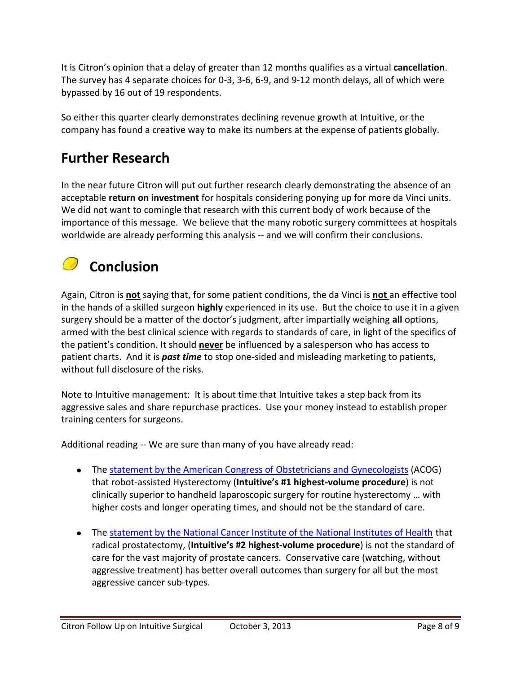It is Citron's opinion that a delay of greater than 12 months qualifies as a virtual **cancellation**. The survey has 4 separate choices for 0-3, 3-6, 6-9, and 9-12 month delays, all of which were bypassed by 16 out of 19 respondents.

So either this quarter clearly demonstrates declining revenue growth at Intuitive, or the company has found a creative way to make its numbers at the expense of patients globally.

## **Further Research**

In the near future Citron will put out further research clearly demonstrating the absence of an acceptable **return on investment** for hospitals considering ponying up for more da Vinci units. We did not want to comingle that research with this current body of work because of the importance of this message. We believe that the many robotic surgery committees at hospitals worldwide are already performing this analysis -- and we will confirm their conclusions.

# **Conclusion**

Again, Citron is **not** saying that, for some patient conditions, the da Vinci is **not** an effective tool in the hands of a skilled surgeon **highly** experienced in its use. But the choice to use it in a given surgery should be a matter of the doctor's judgment, after impartially weighing **all** options, armed with the best clinical science with regards to standards of care, in light of the specifics of the patient's condition. It should **never** be influenced by a salesperson who has access to patient charts. And it is *past time* to stop one-sided and misleading marketing to patients, without full disclosure of the risks.

Note to Intuitive management: It is about time that Intuitive takes a step back from its aggressive sales and share repurchase practices. Use your money instead to establish proper training centers for surgeons.

Additional reading -- We are sure than many of you have already read:

- The [statement by the American Congress of Obstetricians and Gynecologists](http://www.acog.org/About_ACOG/News_Room/News_Releases/2013/Statement_on_Robotic_Surgery) (ACOG) that robot-assisted Hysterectomy (**Intuitive's #1 highest-volume procedure**) is not clinically superior to handheld laparoscopic surgery for routine hysterectomy … with higher costs and longer operating times, and should not be the standard of care.
- The [statement by the National Cancer Institute of the National Institutes of Health](http://www.cancer.gov/cancertopics/pdq/treatment/prostate/HealthProfessional/page3) that radical prostatectomy, (**Intuitive's #2 highest-volume procedure**) is not the standard of care for the vast majority of prostate cancers. Conservative care (watching, without aggressive treatment) has better overall outcomes than surgery for all but the most aggressive cancer sub-types.